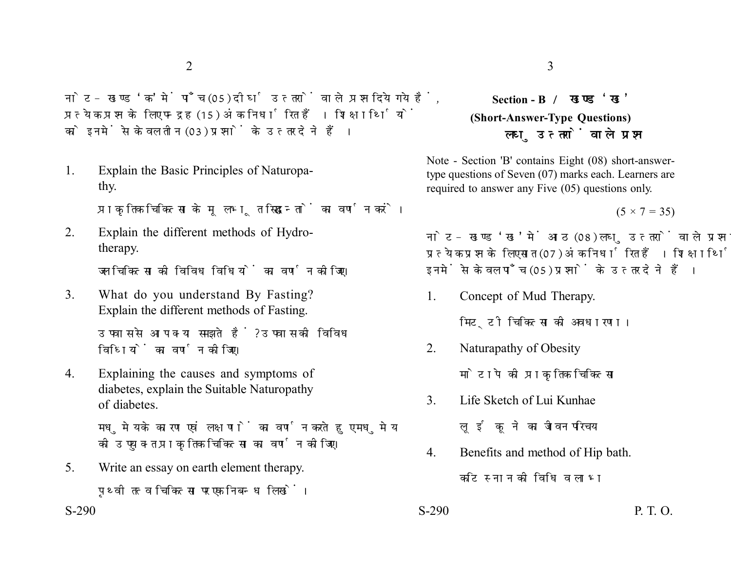नोट- खण्ड 'क' में पाँच (05) दीर्घ उत्तरों वाले प्रश्न दिये गये हैं. प्रत्येक प्रश्न के लिए पन्द्रह (15) अंक निर्धारित हैं। शिक्षार्थियों को इनमें से केवल तीन (03) प्रश्नों के उत्तर देने हैं।

1. Explain the Basic Principles of Naturopathy.

प्राकतिक चिकित्सा के मूलभूत सिद्धान्तों का वर्णन करें।

2. Explain the different methods of Hydrotherapy.

जल चिकित्सा की विविध विधियों का वर्णन कोजिए।

3. What do you understand By Fasting? Explain the different methods of Fasting.

> उपवास से आप क्या समझते हैं? उपवास की विविध विधियों का वर्णन कीजिए।

4. Explaining the causes and symptoms of diabetes, explain the Suitable Naturopathy of diabetes.

> मधुमेय के कारण एवं लक्षणों का वर्णन करते हुए मधुमेय की उपयुक्त प्राकृतिक चिकित्सा का वर्णन कीजिए।

5. Write an essay on earth element therapy. पृथ्वी तत्व चिकित्सा पर एक निबन्ध लिखें।

## **Section - B (Short-Answer-Type Questions)** लघ उत्तरों वाले प्रश्न

Note - Section 'B' contains Eight (08) short-answertype questions of Seven (07) marks each. Learners are required to answer any Five (05) questions only.

 $(5 \times 7 = 35)$ 

नोट- खण्ड 'ख' में आठ (08) लघु उत्तरों वाले प्रश्न दिये गये हैं, प्रत्येक प्रश्न के लिए सात (07) अंक निर्धारित हैं। शिक्षार्थियों को इनमें से केवल पाँच (05) प्रश्नों के उत्तर देने हैं।

1. Concept of Mud Therapy.

मिट्टी चिकित्सा की अवधारणा।

2. Naturapathy of Obesity

मोटापे की प्राकृतिक चिकित्सा

- 3. Life Sketch of Lui Kunhae
	- लई कुने का जीवन परिचय
- 4. Benefits and method of Hip bath.

कटि स्नान की विधि व लाभ

 $S-290$  P. T. O.